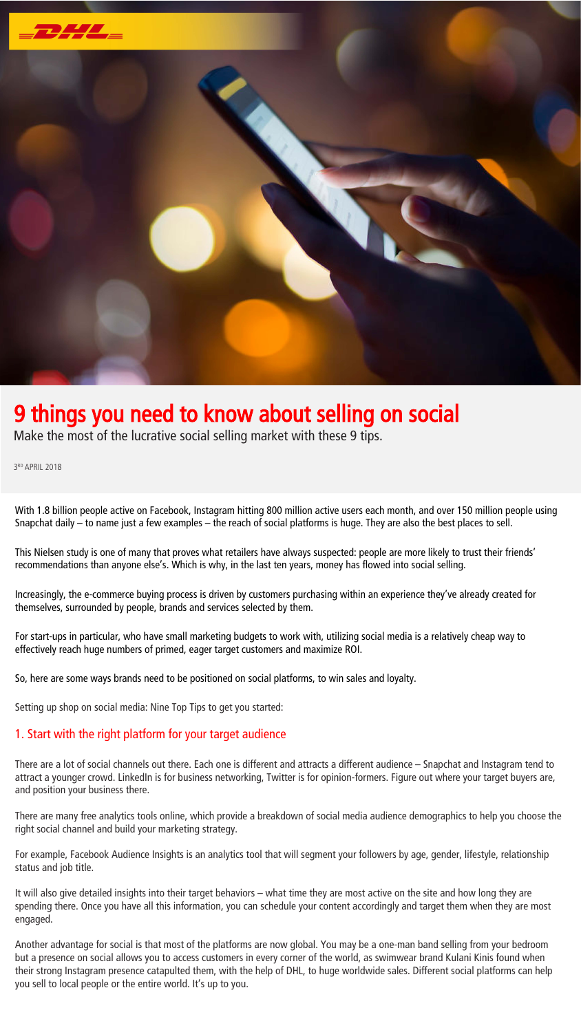

# 9 things you need to know about selling on social

Make the most of the lucrative social selling market with these 9 tips.

3 RD APRIL 2018

With 1.8 billion people active on Facebook, Instagram hitting 800 million active users each month, and over 150 million people using Snapchat daily – to name just a few examples – the reach of social platforms is huge. They are also the best places to sell.

This Nielsen study is one of many that proves what retailers have always suspected: people are more likely to trust their friends' recommendations than anyone else's. Which is why, in the last ten years, money has flowed into social selling.

Increasingly, the e-commerce buying process is driven by customers purchasing within an experience they've already created for themselves, surrounded by people, brands and services selected by them.

For start-ups in particular, who have small marketing budgets to work with, utilizing social media is a relatively cheap way to effectively reach huge numbers of primed, eager target customers and maximize ROI.

So, here are some ways brands need to be positioned on social platforms, to win sales and loyalty.

Setting up shop on social media: Nine Top Tips to get you started:

## 1. Start with the right platform for your target audience

There are a lot of social channels out there. Each one is different and attracts a different audience – Snapchat and Instagram tend to attract a younger crowd. LinkedIn is for business networking, Twitter is for opinion-formers. Figure out where your target buyers are, and position your business there.

There are many free analytics tools online, which provide a breakdown of social media audience demographics to help you choose the right social channel and build your marketing strategy.

For example, Facebook Audience Insights is an analytics tool that will segment your followers by age, gender, lifestyle, relationship status and job title.

It will also give detailed insights into their target behaviors – what time they are most active on the site and how long they are spending there. Once you have all this information, you can schedule your content accordingly and target them when they are most engaged.

Another advantage for social is that most of the platforms are now global. You may be a one-man band selling from your bedroom but a presence on social allows you to access customers in every corner of the world, as swimwear brand Kulani Kinis found when



you sell to local people or the entire world. It's up to you.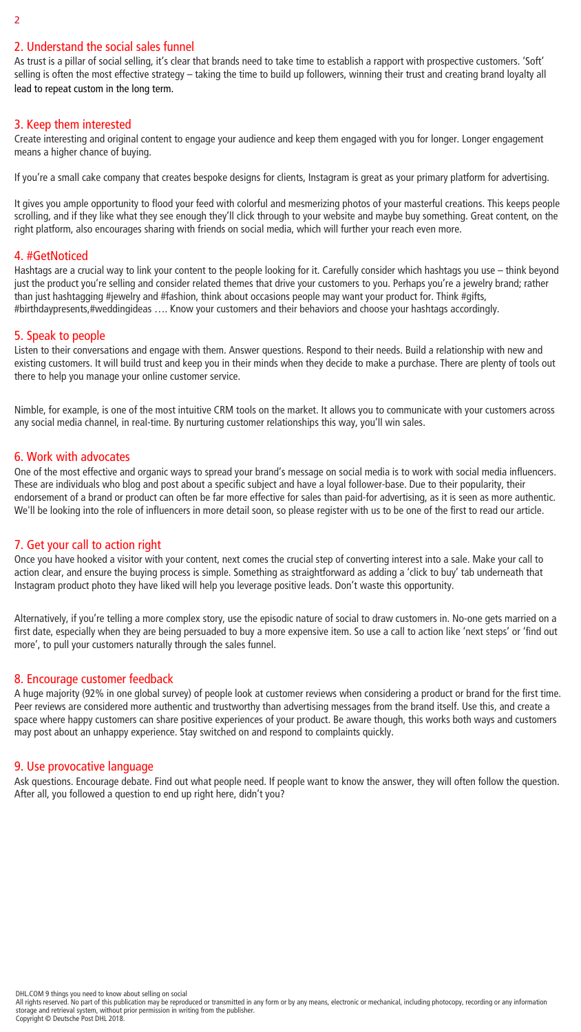## 2. Understand the social sales funnel

As trust is a pillar of social selling, it's clear that brands need to take time to establish a rapport with prospective customers. 'Soft' selling is often the most effective strategy – taking the time to build up followers, winning their trust and creating brand loyalty all lead to repeat custom in the long term.

# 3. Keep them interested

Create interesting and original content to engage your audience and keep them engaged with you for longer. Longer engagement means a higher chance of buying.

If you're a small cake company that creates bespoke designs for clients, Instagram is great as your primary platform for advertising.

It gives you ample opportunity to flood your feed with colorful and mesmerizing photos of your masterful creations. This keeps people scrolling, and if they like what they see enough they'll click through to your website and maybe buy something. Great content, on the right platform, also encourages sharing with friends on social media, which will further your reach even more.

# 4. #GetNoticed

Hashtags are a crucial way to link your content to the people looking for it. Carefully consider which hashtags you use – think beyond just the product you're selling and consider related themes that drive your customers to you. Perhaps you're a jewelry brand; rather than just hashtagging #jewelry and #fashion, think about occasions people may want your product for. Think #gifts, #birthdaypresents,#weddingideas …. Know your customers and their behaviors and choose your hashtags accordingly.

# 5. Speak to people

Listen to their conversations and engage with them. Answer questions. Respond to their needs. Build a relationship with new and existing customers. It will build trust and keep you in their minds when they decide to make a purchase. There are plenty of tools out there to help you manage your online customer service.

Nimble, for example, is one of the most intuitive CRM tools on the market. It allows you to communicate with your customers across any social media channel, in real-time. By nurturing customer relationships this way, you'll win sales.

# 6. Work with advocates

One of the most effective and organic ways to spread your brand's message on social media is to work with social media influencers. These are individuals who blog and post about a specific subject and have a loyal follower-base. Due to their popularity, their endorsement of a brand or product can often be far more effective for sales than paid-for advertising, as it is seen as more authentic. We'll be looking into the role of influencers in more detail soon, so please register with us to be one of the first to read our article.

# 7. Get your call to action right

Once you have hooked a visitor with your content, next comes the crucial step of converting interest into a sale. Make your call to action clear, and ensure the buying process is simple. Something as straightforward as adding a 'click to buy' tab underneath that Instagram product photo they have liked will help you leverage positive leads. Don't waste this opportunity.

Alternatively, if you're telling a more complex story, use the episodic nature of social to draw customers in. No-one gets married on a first date, especially when they are being persuaded to buy a more expensive item. So use a call to action like 'next steps' or 'find out more', to pull your customers naturally through the sales funnel.

## 8. Encourage customer feedback

A huge majority (92% in one global survey) of people look at customer reviews when considering a product or brand for the first time. Peer reviews are considered more authentic and trustworthy than advertising messages from the brand itself. Use this, and create a space where happy customers can share positive experiences of your product. Be aware though, this works both ways and customers may post about an unhappy experience. Stay switched on and respond to complaints quickly.

### 9. Use provocative language

Ask questions. Encourage debate. Find out what people need. If people want to know the answer, they will often follow the question. After all, you followed a question to end up right here, didn't you?

#### DHL.COM 9 things you need to know about selling on social All rights reserved. No part of this publication may be reproduced or transmitted in any form or by any means, electronic or mechanical, including photocopy, recording or any information storage and retrieval system, without prior permission in writing from the publisher. Copyright © Deutsche Post DHL 2018.